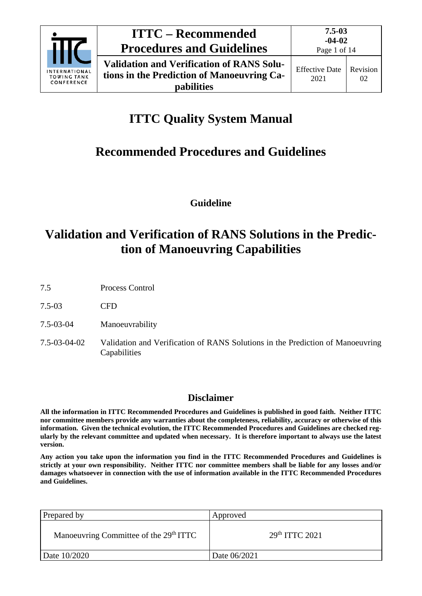

**pabilities**

# **ITTC Quality System Manual**

# **Recommended Procedures and Guidelines**

**Guideline**

# **Validation and Verification of RANS Solutions in the Prediction of Manoeuvring Capabilities**

- 7.5 Process Control
- 7.5-03 CFD
- 7.5-03-04 Manoeuvrability
- 7.5-03-04-02 Validation and Verification of RANS Solutions in the Prediction of Manoeuvring Capabilities

# **Disclaimer**

**All the information in ITTC Recommended Procedures and Guidelines is published in good faith. Neither ITTC nor committee members provide any warranties about the completeness, reliability, accuracy or otherwise of this information. Given the technical evolution, the ITTC Recommended Procedures and Guidelines are checked regularly by the relevant committee and updated when necessary. It is therefore important to always use the latest version.**

**Any action you take upon the information you find in the ITTC Recommended Procedures and Guidelines is strictly at your own responsibility. Neither ITTC nor committee members shall be liable for any losses and/or damages whatsoever in connection with the use of information available in the ITTC Recommended Procedures and Guidelines.**

| Prepared by                                        | Approved           |
|----------------------------------------------------|--------------------|
| Manoeuvring Committee of the 29 <sup>th</sup> ITTC | $29th$ ITTC $2021$ |
| Date 10/2020                                       | Date 06/2021       |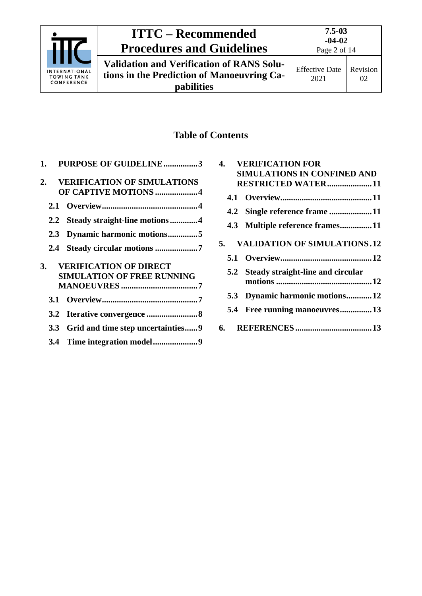

# **ITTC – Recommended Procedures and Guidelines**

**Validation and Verification of RANS Solutions in the Prediction of Manoeuvring Capabilities**

# **Table of Contents**

|    |     | 1. PURPOSE OF GUIDELINE3              |
|----|-----|---------------------------------------|
| 2. |     | <b>VERIFICATION OF SIMULATIONS</b>    |
|    |     | OF CAPTIVE MOTIONS 4                  |
|    | 2.1 |                                       |
|    |     | 2.2 Steady straight-line motions4     |
|    | 2.3 | Dynamic harmonic motions5             |
|    |     | 2.4 Steady circular motions 7         |
| 3. |     | <b>VERIFICATION OF DIRECT</b>         |
|    |     | <b>SIMULATION OF FREE RUNNING</b>     |
|    |     |                                       |
|    |     |                                       |
|    |     |                                       |
|    |     | 3.3 Grid and time step uncertainties9 |
|    |     |                                       |

| 4. |     | <b>VERIFICATION FOR</b>               |
|----|-----|---------------------------------------|
|    |     | <b>SIMULATIONS IN CONFINED AND</b>    |
|    |     | RESTRICTED WATER11                    |
|    |     |                                       |
|    |     |                                       |
|    |     | 4.3 Multiple reference frames11       |
|    |     | 5. VALIDATION OF SIMULATIONS.12       |
|    |     |                                       |
|    |     | 5.2 Steady straight-line and circular |
|    |     |                                       |
|    |     | 5.3 Dynamic harmonic motions 12       |
|    | 5.4 | Free running manoeuvres13             |
|    | 6.  |                                       |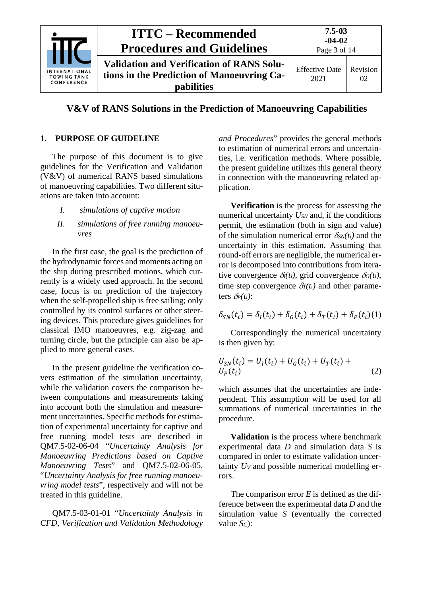

# **V&V of RANS Solutions in the Prediction of Manoeuvring Capabilities**

## <span id="page-2-0"></span>**1. PURPOSE OF GUIDELINE**

The purpose of this document is to give guidelines for the Verification and Validation (V&V) of numerical RANS based simulations of manoeuvring capabilities. Two different situations are taken into account:

- *I. simulations of captive motion*
- *II. simulations of free running manoeuvres*

In the first case, the goal is the prediction of the hydrodynamic forces and moments acting on the ship during prescribed motions, which currently is a widely used approach. In the second case, focus is on prediction of the trajectory when the self-propelled ship is free sailing; only controlled by its control surfaces or other steering devices. This procedure gives guidelines for classical IMO manoeuvres, e.g. zig-zag and turning circle, but the principle can also be applied to more general cases.

In the present guideline the verification covers estimation of the simulation uncertainty, while the validation covers the comparison between computations and measurements taking into account both the simulation and measurement uncertainties. Specific methods for estimation of experimental uncertainty for captive and free running model tests are described in QM7.5-02-06-04 "*Uncertainty Analysis for Manoeuvring Predictions based on Captive Manoeuvring Tests*" and QM7.5-02-06-05, "*Uncertainty Analysis for free running manoeuvring model tests*", respectively and will not be treated in this guideline.

QM7.5-03-01-01 "*Uncertainty Analysis in CFD, Verification and Validation Methodology*  *and Procedures*" provides the general methods to estimation of numerical errors and uncertainties, i.e. verification methods. Where possible, the present guideline utilizes this general theory in connection with the manoeuvring related application.

**Verification** is the process for assessing the numerical uncertainty *USN* and, if the conditions permit, the estimation (both in sign and value) of the simulation numerical error  $\delta_{SN}(t_i)$  and the uncertainty in this estimation. Assuming that round-off errors are negligible, the numerical error is decomposed into contributions from iterative convergence  $\delta_l(t_i)$ , grid convergence  $\delta_G(t_i)$ , time step convergence  $\delta r(t_i)$  and other parameters  $\delta P(t_i)$ :

$$
\delta_{SN}(t_i) = \delta_I(t_i) + \delta_G(t_i) + \delta_T(t_i) + \delta_P(t_i)(1)
$$

Correspondingly the numerical uncertainty is then given by:

$$
U_{SN}(t_i) = U_I(t_i) + U_G(t_i) + U_T(t_i) + U_P(t_i)
$$
\n(2)

which assumes that the uncertainties are independent. This assumption will be used for all summations of numerical uncertainties in the procedure.

**Validation** is the process where benchmark experimental data *D* and simulation data *S* is compared in order to estimate validation uncertainty *UV* and possible numerical modelling errors.

The comparison error *E* is defined as the difference between the experimental data *D* and the simulation value *S* (eventually the corrected value *SC*):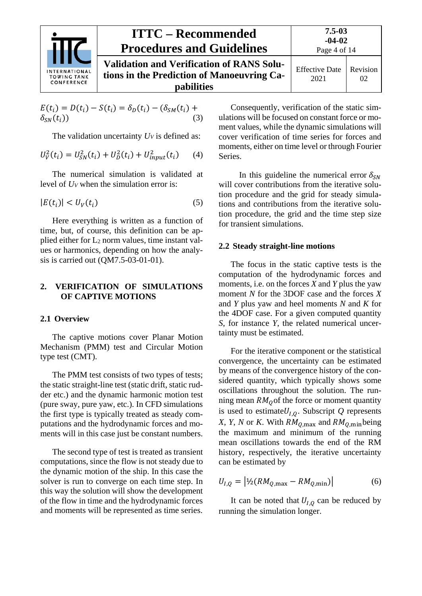

| <b>TIONAL</b><br><b>GTANK</b><br><b>RENCE</b> | <b>ITTC – Recommended</b><br><b>Procedures and Guidelines</b>                                                       | $7.5 - 03$<br>$-04-02$<br>Page 4 of 14 |                       |
|-----------------------------------------------|---------------------------------------------------------------------------------------------------------------------|----------------------------------------|-----------------------|
|                                               | <b>Validation and Verification of RANS Solu-</b><br>tions in the Prediction of Manoeuvring Ca-<br><b>pabilities</b> | <b>Effective Date</b><br>2021          | <b>Revision</b><br>02 |

$$
E(t_i) = D(t_i) - S(t_i) = \delta_D(t_i) - (\delta_{SM}(t_i) + \delta_{SN}(t_i))
$$
\n(3)

The validation uncertainty  $U_V$  is defined as:

$$
U_V^2(t_i) = U_{SN}^2(t_i) + U_D^2(t_i) + U_{input}^2(t_i)
$$
 (4)

The numerical simulation is validated at level of *UV* when the simulation error is:

$$
|E(t_i)| < U_V(t_i) \tag{5}
$$

Here everything is written as a function of time, but, of course, this definition can be applied either for L2 norm values, time instant values or harmonics, depending on how the analysis is carried out (QM7.5-03-01-01).

## <span id="page-3-0"></span>**2. VERIFICATION OF SIMULATIONS OF CAPTIVE MOTIONS**

#### <span id="page-3-1"></span>**2.1 Overview**

The captive motions cover Planar Motion Mechanism (PMM) test and Circular Motion type test (CMT).

The PMM test consists of two types of tests; the static straight-line test (static drift, static rudder etc.) and the dynamic harmonic motion test (pure sway, pure yaw, etc.). In CFD simulations the first type is typically treated as steady computations and the hydrodynamic forces and moments will in this case just be constant numbers.

The second type of test is treated as transient computations, since the flow is not steady due to the dynamic motion of the ship. In this case the solver is run to converge on each time step. In this way the solution will show the development of the flow in time and the hydrodynamic forces and moments will be represented as time series.

Consequently, verification of the static simulations will be focused on constant force or moment values, while the dynamic simulations will cover verification of time series for forces and moments, either on time level or through Fourier Series.

In this guideline the numerical error  $\delta_{SN}$ will cover contributions from the iterative solution procedure and the grid for steady simulations and contributions from the iterative solution procedure, the grid and the time step size for transient simulations.

#### <span id="page-3-2"></span>**2.2 Steady straight-line motions**

The focus in the static captive tests is the computation of the hydrodynamic forces and moments, i.e. on the forces *X* and *Y* plus the yaw moment *N* for the 3DOF case and the forces *X* and *Y* plus yaw and heel moments *N* and *K* for the 4DOF case. For a given computed quantity *S*, for instance *Y*, the related numerical uncertainty must be estimated.

For the iterative component or the statistical convergence, the uncertainty can be estimated by means of the convergence history of the considered quantity, which typically shows some oscillations throughout the solution. The running mean  $RM<sub>o</sub>$  of the force or moment quantity is used to estimate $U_{I,Q}$ . Subscript Q represents *X*, *Y*, *N* or *K*. With  $RM_{Q,\text{max}}$  and  $RM_{Q,\text{min}}$  being the maximum and minimum of the running mean oscillations towards the end of the RM history, respectively, the iterative uncertainty can be estimated by

$$
U_{I,Q} = |{}^{1}\!/\!2(RM_{Q,\text{max}} - RM_{Q,\text{min}})| \tag{6}
$$

It can be noted that  $U_{I,0}$  can be reduced by running the simulation longer.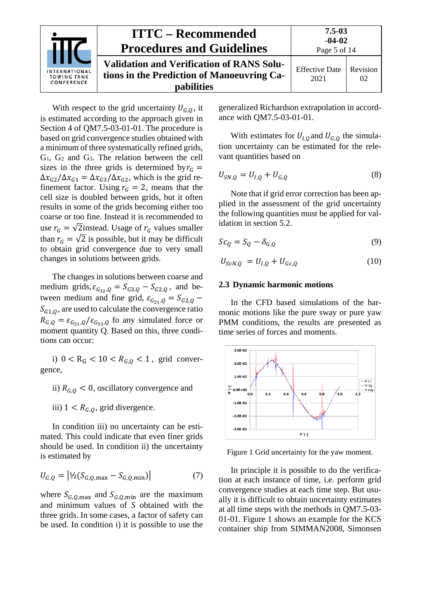

With respect to the grid uncertainty  $U_{G,0}$ , it is estimated according to the approach given in Section 4 of QM7.5-03-01-01. The procedure is based on grid convergence studies obtained with a minimum of three systematically refined grids, G1, G2 and G3. The relation between the cell sizes in the three grids is determined by  $r_c$  =  $\Delta x_{G2}/\Delta x_{G1} = \Delta x_{G3}/\Delta x_{G2}$ , which is the grid refinement factor. Using  $r_G = 2$ , means that the cell size is doubled between grids, but it often results in some of the grids becoming either too coarse or too fine. Instead it is recommended to use  $r_G = \sqrt{2}$ instead. Usage of  $r_G$  values smaller than  $r_G = \sqrt{2}$  is possible, but it may be difficult to obtain grid convergence due to very small changes in solutions between grids.

The changes in solutions between coarse and medium grids,  $\varepsilon_{G_3}$  =  $S_{G_3}$  –  $S_{G_2}$ , and between medium and fine grid,  $\varepsilon_{G_2} = S_{G_2, Q}$  –  $S_{61,0}$ , are used to calculate the convergence ratio  $R_{G,Q} = \varepsilon_{G_2}^2 / \varepsilon_{G_3}^2$  fo any simulated force or moment quantity Q. Based on this, three conditions can occur:

i)  $0 < R_G < 10 < R_{G,0} < 1$ , grid convergence,

- ii)  $R_{G,Q} < 0$ , oscillatory convergence and
- iii)  $1 < R_{G,0}$ , grid divergence.

In condition iii) no uncertainty can be estimated. This could indicate that even finer grids should be used. In condition ii) the uncertainty is estimated by

$$
U_{G,Q} = |V_2(S_{G,Q,\text{max}} - S_{G,Q,\text{min}})|
$$
 (7)

where  $S_{G,0,\text{max}}$  and  $S_{G,0,\text{min}}$  are the maximum and minimum values of *S* obtained with the three grids. In some cases, a factor of safety can be used. In condition i) it is possible to use the generalized Richardson extrapolation in accordance with QM7.5-03-01-01.

With estimates for  $U_{I,O}$  and  $U_{G,O}$  the simulation uncertainty can be estimated for the relevant quantities based on

$$
U_{SN,Q} = U_{I,Q} + U_{G,Q}
$$
 (8)

Note that if grid error correction has been applied in the assessment of the grid uncertainty the following quantities must be applied for validation in section [5.2.](#page-11-2)

$$
Sc_Q = S_Q - \delta_{G,Q} \tag{9}
$$

<span id="page-4-0"></span>
$$
U_{ScN,Q} = U_{I,Q} + U_{Gc,Q}
$$
 (10)

#### **2.3 Dynamic harmonic motions**

In the CFD based simulations of the harmonic motions like the pure sway or pure yaw PMM conditions, the results are presented as time series of forces and moments.



<span id="page-4-1"></span>Figure 1 Grid uncertainty for the yaw moment.

In principle it is possible to do the verification at each instance of time, i.e. perform grid convergence studies at each time step. But usually it is difficult to obtain uncertainty estimates at all time steps with the methods in QM7.5-03- 01-01. [Figure 1](#page-4-1) shows an example for the KCS container ship from SIMMAN2008, Simonsen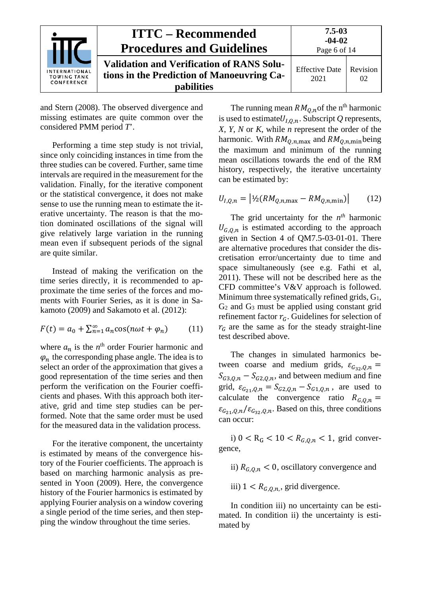|                                                   | <b>ITTC – Recommended</b><br><b>Procedures and Guidelines</b>                                                       | $7.5 - 03$<br>$-04-02$<br>Page 6 of 14 |                |
|---------------------------------------------------|---------------------------------------------------------------------------------------------------------------------|----------------------------------------|----------------|
| INTERNATIONAL<br><b>TOWING TANK</b><br>CONFERENCE | <b>Validation and Verification of RANS Solu-</b><br>tions in the Prediction of Manoeuvring Ca-<br><b>pabilities</b> | <b>Effective Date</b><br>2021          | Revision<br>02 |

and Stern (2008). The observed divergence and missing estimates are quite common over the considered PMM period *T*'.

Performing a time step study is not trivial, since only coinciding instances in time from the three studies can be covered. Further, same time intervals are required in the measurement for the validation. Finally, for the iterative component or the statistical convergence, it does not make sense to use the running mean to estimate the iterative uncertainty. The reason is that the motion dominated oscillations of the signal will give relatively large variation in the running mean even if subsequent periods of the signal are quite similar.

Instead of making the verification on the time series directly, it is recommended to approximate the time series of the forces and moments with Fourier Series, as it is done in Sakamoto (2009) and Sakamoto et al. (2012):

$$
F(t) = a_0 + \sum_{n=1}^{\infty} a_n \cos(n\omega t + \varphi_n)
$$
 (11)

where  $a_n$  is the  $n^{\text{th}}$  order Fourier harmonic and  $\varphi_n$  the corresponding phase angle. The idea is to select an order of the approximation that gives a good representation of the time series and then perform the verification on the Fourier coefficients and phases. With this approach both iterative, grid and time step studies can be performed. Note that the same order must be used for the measured data in the validation process.

For the iterative component, the uncertainty is estimated by means of the convergence history of the Fourier coefficients. The approach is based on marching harmonic analysis as presented in Yoon (2009). Here, the convergence history of the Fourier harmonics is estimated by applying Fourier analysis on a window covering a single period of the time series, and then stepping the window throughout the time series.

The running mean  $RM_{O,n}$  of the n<sup>th</sup> harmonic is used to estimate  $U_{l,0,n}$ . Subscript Q represents, *X*, *Y*, *N* or *K*, while *n* represent the order of the harmonic. With  $RM_{O,n,\text{max}}$  and  $RM_{O,n,\text{min}}$  being the maximum and minimum of the running mean oscillations towards the end of the RM history, respectively, the iterative uncertainty can be estimated by:

$$
U_{I,Q,n} = |4/2(RM_{Q,n,\text{max}} - RM_{Q,n,\text{min}})| \tag{12}
$$

The grid uncertainty for the *nth* harmonic  $U_{G,Q,n}$  is estimated according to the approach given in Section 4 of QM7.5-03-01-01. There are alternative procedures that consider the discretisation error/uncertainty due to time and space simultaneously (see e.g. Fathi et al, 2011). These will not be described here as the CFD committee's V&V approach is followed. Minimum three systematically refined grids, G1, G2 and G3 must be applied using constant grid refinement factor  $r_G$ . Guidelines for selection of  $r_G$  are the same as for the steady straight-line test described above.

The changes in simulated harmonics between coarse and medium grids,  $\varepsilon_{G_{32},Q,n}$  =  $S_{63,0,n} - S_{62,0,n}$ , and between medium and fine grid,  $\varepsilon_{G_{21},Q,n} = S_{G_{2},Q,n} - S_{G_{1},Q,n}$ , are used to calculate the convergence ratio  $R_{G,Q,n} =$  $\epsilon_{G_{21}, Q, n}/\epsilon_{G_{32}, Q, n}$ . Based on this, three conditions can occur:

i)  $0 < R_G < 10 < R_{G,0,n} < 1$ , grid convergence,

- ii)  $R_{G,0,n} < 0$ , oscillatory convergence and
- iii)  $1 < R_{G,Q,n}$ , grid divergence.

In condition iii) no uncertainty can be estimated. In condition ii) the uncertainty is estimated by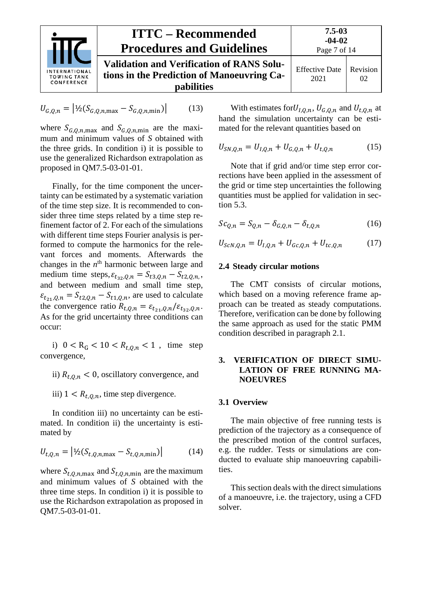

$$
U_{G,Q,n} = |1/2(S_{G,Q,n,\text{max}} - S_{G,Q,n,\text{min}})|
$$
 (13)

where  $S_{G,Q,n,\text{max}}$  and  $S_{G,Q,n,\text{min}}$  are the maximum and minimum values of *S* obtained with the three grids. In condition i) it is possible to use the generalized Richardson extrapolation as proposed in QM7.5-03-01-01.

Finally, for the time component the uncertainty can be estimated by a systematic variation of the time step size. It is recommended to consider three time steps related by a time step refinement factor of 2. For each of the simulations with different time steps Fourier analysis is performed to compute the harmonics for the relevant forces and moments. Afterwards the changes in the *n*<sup>th</sup> harmonic between large and medium time steps,  $\varepsilon_{t_{32},Q,n} = S_{t_{3},Q,n} - S_{t_{2},Q,n}$ , and between medium and small time step,  $\varepsilon_{t_{21},Q,n} = S_{t_{2},Q,n} - S_{t_{1},Q,n}$ , are used to calculate the convergence ratio  $R_{t,Q,n} = \varepsilon_{t_{21},Q,n} / \varepsilon_{t_{32},Q,n}$ . As for the grid uncertainty three conditions can occur:

i)  $0 < R_G < 10 < R_{t,0,n} < 1$ , time step convergence,

ii)  $R_{t,0,n}$  < 0, oscillatory convergence, and

iii)  $1 \lt R_{t,0,n}$ , time step divergence.

In condition iii) no uncertainty can be estimated. In condition ii) the uncertainty is estimated by

$$
U_{t,Q,n} = | \frac{1}{2} (S_{t,Q,n,\text{max}} - S_{t,Q,n,\text{min}}) | \tag{14}
$$

where  $S_{t,0,n,\text{max}}$  and  $S_{t,0,n,\text{min}}$  are the maximum and minimum values of *S* obtained with the three time steps. In condition i) it is possible to use the Richardson extrapolation as proposed in QM7.5-03-01-01.

With estimates for  $U_{I,Q,n}$ ,  $U_{G,Q,n}$  and  $U_{t,Q,n}$  at hand the simulation uncertainty can be estimated for the relevant quantities based on

$$
U_{SN,Q,n} = U_{I,Q,n} + U_{G,Q,n} + U_{t,Q,n}
$$
 (15)

Note that if grid and/or time step error corrections have been applied in the assessment of the grid or time step uncertainties the following quantities must be applied for validation in section [5.3.](#page-11-3)

$$
Sc_{Q,n} = S_{Q,n} - \delta_{G,Q,n} - \delta_{t,Q,n} \tag{16}
$$

<span id="page-6-0"></span>
$$
U_{ScN,Q,n} = U_{I,Q,n} + U_{Gc,Q,n} + U_{tc,Q,n}
$$
 (17)

#### **2.4 Steady circular motions**

The CMT consists of circular motions, which based on a moving reference frame approach can be treated as steady computations. Therefore, verification can be done by following the same approach as used for the static PMM condition described in paragraph 2.1.

## <span id="page-6-1"></span>**3. VERIFICATION OF DIRECT SIMU-LATION OF FREE RUNNING MA-NOEUVRES**

#### <span id="page-6-2"></span>**3.1 Overview**

The main objective of free running tests is prediction of the trajectory as a consequence of the prescribed motion of the control surfaces, e.g. the rudder. Tests or simulations are conducted to evaluate ship manoeuvring capabilities.

This section deals with the direct simulations of a manoeuvre, i.e. the trajectory, using a CFD solver.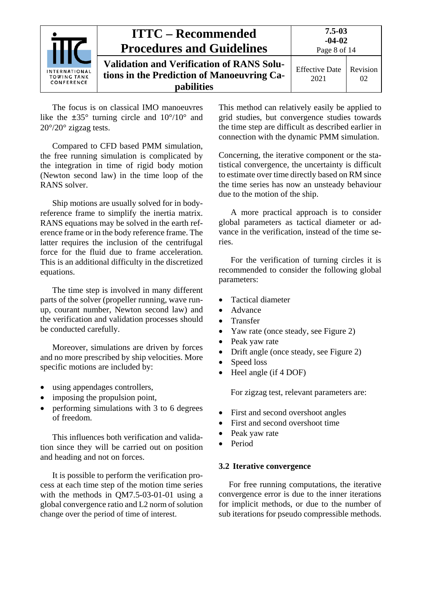|                                                   | <b>ITTC – Recommended</b><br><b>Procedures and Guidelines</b>                                                       | $7.5 - 03$<br>$-04-02$<br>Page 8 of 14 |                |
|---------------------------------------------------|---------------------------------------------------------------------------------------------------------------------|----------------------------------------|----------------|
| INTERNATIONAL<br><b>TOWING TANK</b><br>CONFERENCE | <b>Validation and Verification of RANS Solu-</b><br>tions in the Prediction of Manoeuvring Ca-<br><b>pabilities</b> | <b>Effective Date</b><br>2021          | Revision<br>02 |

The focus is on classical IMO manoeuvres like the  $\pm 35^{\circ}$  turning circle and  $10^{\circ}/10^{\circ}$  and 20°/20° zigzag tests.

Compared to CFD based PMM simulation, the free running simulation is complicated by the integration in time of rigid body motion (Newton second law) in the time loop of the RANS solver.

Ship motions are usually solved for in bodyreference frame to simplify the inertia matrix. RANS equations may be solved in the earth reference frame or in the body reference frame. The latter requires the inclusion of the centrifugal force for the fluid due to frame acceleration. This is an additional difficulty in the discretized equations.

The time step is involved in many different parts of the solver (propeller running, wave runup, courant number, Newton second law) and the verification and validation processes should be conducted carefully.

Moreover, simulations are driven by forces and no more prescribed by ship velocities. More specific motions are included by:

- using appendages controllers,
- imposing the propulsion point,
- performing simulations with 3 to 6 degrees of freedom.

This influences both verification and validation since they will be carried out on position and heading and not on forces.

It is possible to perform the verification process at each time step of the motion time series with the methods in QM7.5-03-01-01 using a global convergence ratio and L2 norm of solution change over the period of time of interest.

This method can relatively easily be applied to grid studies, but convergence studies towards the time step are difficult as described earlier in connection with the dynamic PMM simulation.

Concerning, the iterative component or the statistical convergence, the uncertainty is difficult to estimate over time directly based on RM since the time series has now an unsteady behaviour due to the motion of the ship.

A more practical approach is to consider global parameters as tactical diameter or advance in the verification, instead of the time series.

For the verification of turning circles it is recommended to consider the following global parameters:

- Tactical diameter
- Advance
- Transfer
- Yaw rate (once steady, see [Figure 2\)](#page-8-2)
- Peak yaw rate
- Drift angle (once steady, see [Figure 2\)](#page-8-2)
- Speed loss
- Heel angle (if 4 DOF)

For zigzag test, relevant parameters are:

- First and second overshoot angles
- First and second overshoot time
- Peak yaw rate
- Period

#### <span id="page-7-0"></span>**3.2 Iterative convergence**

For free running computations, the iterative convergence error is due to the inner iterations for implicit methods, or due to the number of sub iterations for pseudo compressible methods.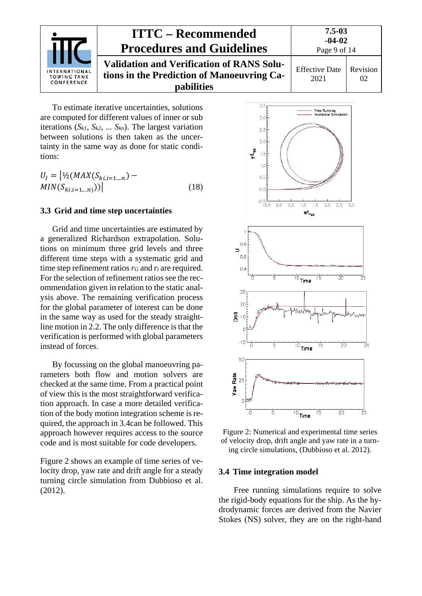

# **ITTC – Recommended Procedures and Guidelines Validation and Verification of RANS Solutions in the Prediction of Manoeuvring Capabilities**

To estimate iterative uncertainties, solutions are computed for different values of inner or sub iterations (*Sk1*, *Sk2*, *... Skn*). The largest variation between solutions is then taken as the uncertainty in the same way as done for static conditions:

$$
U_{I} = |1/2(MAX(S_{ki,i=1\ldots n}) - MIN(S_{ki,i=1\ldots n}))|
$$
\n(18)

## <span id="page-8-0"></span>**3.3 Grid and time step uncertainties**

Grid and time uncertainties are estimated by a generalized Richardson extrapolation. Solutions on minimum three grid levels and three different time steps with a systematic grid and time step refinement ratios  $r_G$  and  $r_t$  are required. For the selection of refinement ratios see the recommendation given in relation to the static analysis above. The remaining verification process for the global parameter of interest can be done in the same way as used for the steady straightline motion in [2.2.](#page-3-2) The only difference is that the verification is performed with global parameters instead of forces.

By focussing on the global manoeuvring parameters both flow and motion solvers are checked at the same time. From a practical point of view this is the most straightforward verification approach. In case a more detailed verification of the body motion integration scheme is required, the approach in [3.4c](#page-8-1)an be followed. This approach however requires access to the source code and is most suitable for code developers.

[Figure 2](#page-8-2) shows an example of time series of velocity drop, yaw rate and drift angle for a steady turning circle simulation from Dubbioso et al. (2012).



<span id="page-8-2"></span>Figure 2: Numerical and experimental time series of velocity drop, drift angle and yaw rate in a turning circle simulations, (Dubbioso et al. 2012).

#### <span id="page-8-1"></span>**3.4 Time integration model**

Free running simulations require to solve the rigid-body equations for the ship. As the hydrodynamic forces are derived from the Navier Stokes (NS) solver, they are on the right-hand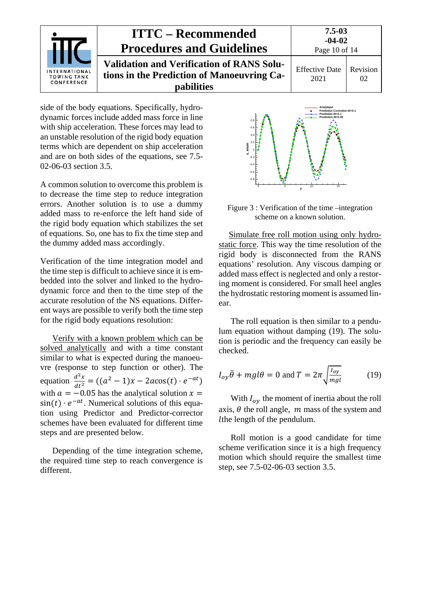

side of the body equations. Specifically, hydrodynamic forces include added mass force in line with ship acceleration. These forces may lead to an unstable resolution of the rigid body equation terms which are dependent on ship acceleration and are on both sides of the equations, see 7.5- 02-06-03 section 3.5.

A common solution to overcome this problem is to decrease the time step to reduce integration errors. Another solution is to use a dummy added mass to re-enforce the left hand side of the rigid body equation which stabilizes the set of equations. So, one has to fix the time step and the dummy added mass accordingly.

Verification of the time integration model and the time step is difficult to achieve since it is embedded into the solver and linked to the hydrodynamic force and then to the time step of the accurate resolution of the NS equations. Different ways are possible to verify both the time step for the rigid body equations resolution:

Verify with a known problem which can be solved analytically and with a time constant similar to what is expected during the manoeuvre (response to step function or other). The equation  $\frac{d^2x}{dt^2} = ((a^2 - 1)x - 2acos(t) \cdot e^{-at})$ with  $a = -0.05$  has the analytical solution  $x =$  $sin(t) \cdot e^{-at}$ . Numerical solutions of this equation using Predictor and Predictor-corrector schemes have been evaluated for different time steps and are presented below.

Depending of the time integration scheme, the required time step to reach convergence is different.



Figure 3 : Verification of the time –integration scheme on a known solution.

Simulate free roll motion using only hydrostatic force. This way the time resolution of the rigid body is disconnected from the RANS equations' resolution. Any viscous damping or added mass effect is neglected and only a restoring moment is considered. For small heel angles the hydrostatic restoring moment is assumed linear.

The roll equation is then similar to a pendulum equation without damping (19). The solution is periodic and the frequency can easily be checked.

$$
I_{oy}\ddot{\theta} + mgl\theta = 0 \text{ and } T = 2\pi \sqrt{\frac{I_{oy}}{mgl}} \tag{19}
$$

With  $I_{\alpha\nu}$  the moment of inertia about the roll axis,  $\theta$  the roll angle,  $m$  mass of the system and the length of the pendulum.

Roll motion is a good candidate for time scheme verification since it is a high frequency motion which should require the smallest time step, see 7.5-02-06-03 section 3.5.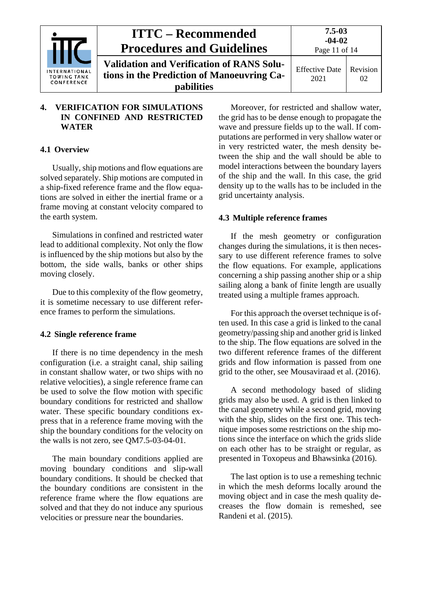|                                                          | <b>ITTC – Recommended</b><br><b>Procedures and Guidelines</b>                                                       | $7.5 - 03$<br>$-04-02$<br>Page 11 of 14 |                |
|----------------------------------------------------------|---------------------------------------------------------------------------------------------------------------------|-----------------------------------------|----------------|
| <b>INTERNATIONAL</b><br><b>TOWING TANK</b><br>CONFERENCE | <b>Validation and Verification of RANS Solu-</b><br>tions in the Prediction of Manoeuvring Ca-<br><b>pabilities</b> | <b>Effective Date</b><br>2021           | Revision<br>02 |

## <span id="page-10-0"></span>**4. VERIFICATION FOR SIMULATIONS IN CONFINED AND RESTRICTED WATER**

# <span id="page-10-1"></span>**4.1 Overview**

Usually, ship motions and flow equations are solved separately. Ship motions are computed in a ship-fixed reference frame and the flow equations are solved in either the inertial frame or a frame moving at constant velocity compared to the earth system.

Simulations in confined and restricted water lead to additional complexity. Not only the flow is influenced by the ship motions but also by the bottom, the side walls, banks or other ships moving closely.

Due to this complexity of the flow geometry, it is sometime necessary to use different reference frames to perform the simulations.

# <span id="page-10-2"></span>**4.2 Single reference frame**

If there is no time dependency in the mesh configuration (i.e. a straight canal, ship sailing in constant shallow water, or two ships with no relative velocities), a single reference frame can be used to solve the flow motion with specific boundary conditions for restricted and shallow water. These specific boundary conditions express that in a reference frame moving with the ship the boundary conditions for the velocity on the walls is not zero, see QM7.5-03-04-01.

The main boundary conditions applied are moving boundary conditions and slip-wall boundary conditions. It should be checked that the boundary conditions are consistent in the reference frame where the flow equations are solved and that they do not induce any spurious velocities or pressure near the boundaries.

Moreover, for restricted and shallow water, the grid has to be dense enough to propagate the wave and pressure fields up to the wall. If computations are performed in very shallow water or in very restricted water, the mesh density between the ship and the wall should be able to model interactions between the boundary layers of the ship and the wall. In this case, the grid density up to the walls has to be included in the grid uncertainty analysis.

# <span id="page-10-3"></span>**4.3 Multiple reference frames**

If the mesh geometry or configuration changes during the simulations, it is then necessary to use different reference frames to solve the flow equations. For example, applications concerning a ship passing another ship or a ship sailing along a bank of finite length are usually treated using a multiple frames approach.

For this approach the overset technique is often used. In this case a grid is linked to the canal geometry/passing ship and another grid is linked to the ship. The flow equations are solved in the two different reference frames of the different grids and flow information is passed from one grid to the other, see Mousaviraad et al. (2016).

A second methodology based of sliding grids may also be used. A grid is then linked to the canal geometry while a second grid, moving with the ship, slides on the first one. This technique imposes some restrictions on the ship motions since the interface on which the grids slide on each other has to be straight or regular, as presented in Toxopeus and Bhawsinka (2016).

The last option is to use a remeshing technic in which the mesh deforms locally around the moving object and in case the mesh quality decreases the flow domain is remeshed, see Randeni et al. (2015).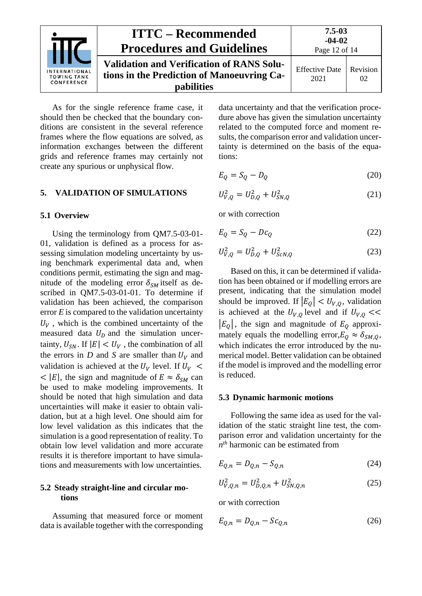

As for the single reference frame case, it should then be checked that the boundary conditions are consistent in the several reference frames where the flow equations are solved, as information exchanges between the different grids and reference frames may certainly not create any spurious or unphysical flow.

#### <span id="page-11-1"></span><span id="page-11-0"></span>**5. VALIDATION OF SIMULATIONS**

#### **5.1 Overview**

Using the terminology from QM7.5-03-01- 01, validation is defined as a process for assessing simulation modeling uncertainty by using benchmark experimental data and, when conditions permit, estimating the sign and magnitude of the modeling error  $\delta_{SM}$  itself as described in QM7.5-03-01-01. To determine if validation has been achieved, the comparison error *E* is compared to the validation uncertainty  $U_V$ , which is the combined uncertainty of the measured data  $U_D$  and the simulation uncertainty,  $U_{SN}$ . If  $|E| < U_V$ , the combination of all the errors in *D* and *S* are smaller than  $U_V$  and validation is achieved at the  $U_V$  level. If  $U_V$  <  $<$  |E|, the sign and magnitude of  $E \approx \delta_{SM}$  can be used to make modeling improvements. It should be noted that high simulation and data uncertainties will make it easier to obtain validation, but at a high level. One should aim for low level validation as this indicates that the simulation is a good representation of reality. To obtain low level validation and more accurate results it is therefore important to have simulations and measurements with low uncertainties.

## <span id="page-11-2"></span>**5.2 Steady straight-line and circular motions**

Assuming that measured force or moment data is available together with the corresponding

data uncertainty and that the verification procedure above has given the simulation uncertainty related to the computed force and moment results, the comparison error and validation uncertainty is determined on the basis of the equations:

$$
E_Q = S_Q - D_Q \tag{20}
$$

$$
U_{V,Q}^2 = U_{D,Q}^2 + U_{SN,Q}^2 \tag{21}
$$

or with correction

$$
E_Q = S_Q - Dc_Q \tag{22}
$$

$$
U_{V,Q}^2 = U_{D,Q}^2 + U_{SCN,Q}^2 \tag{23}
$$

Based on this, it can be determined if validation has been obtained or if modelling errors are present, indicating that the simulation model should be improved. If  $|E_0| < U_{V,0}$ , validation is achieved at the  $U_{V,Q}$  level and if  $U_{V,Q}$  <<  $|E_0|$ , the sign and magnitude of  $E_0$  approximately equals the modelling error,  $E_0 \approx \delta_{SM,0}$ , which indicates the error introduced by the numerical model. Better validation can be obtained if the model is improved and the modelling error is reduced.

#### <span id="page-11-3"></span>**5.3 Dynamic harmonic motions**

Following the same idea as used for the validation of the static straight line test, the comparison error and validation uncertainty for the *nth* harmonic can be estimated from

$$
E_{Q,n} = D_{Q,n} - S_{Q,n}
$$
 (24)

$$
U_{V,Q,n}^2 = U_{D,Q,n}^2 + U_{SN,Q,n}^2
$$
 (25)

or with correction

$$
E_{Q,n} = D_{Q,n} - Sc_{Q,n} \tag{26}
$$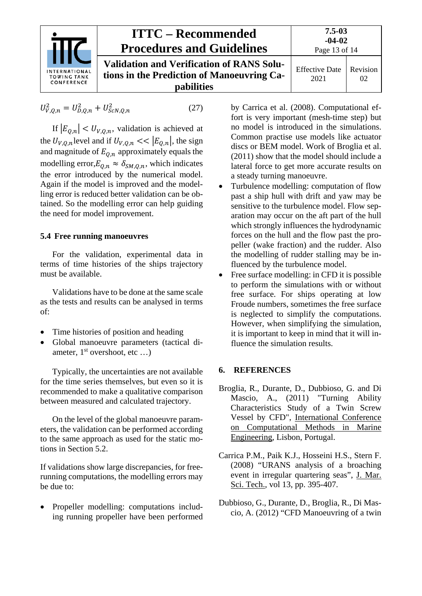

$$
U_{V,Q,n}^2 = U_{D,Q,n}^2 + U_{ScN,Q,n}^2
$$
 (27)

If  $|E_{Q,n}| < U_{V,Q,n}$ , validation is achieved at the  $U_{V,Q,n}$  level and if  $U_{V,Q,n} \ll |E_{Q,n}|$ , the sign and magnitude of  $E_{0,n}$  approximately equals the modelling error, $E_{Q,n} \approx \delta_{SM,Q,n}$ , which indicates the error introduced by the numerical model. Again if the model is improved and the modelling error is reduced better validation can be obtained. So the modelling error can help guiding the need for model improvement.

## <span id="page-12-0"></span>**5.4 Free running manoeuvres**

For the validation, experimental data in terms of time histories of the ships trajectory must be available.

Validations have to be done at the same scale as the tests and results can be analysed in terms of:

- Time histories of position and heading
- Global manoeuvre parameters (tactical diameter,  $1<sup>st</sup>$  overshoot, etc ...)

Typically, the uncertainties are not available for the time series themselves, but even so it is recommended to make a qualitative comparison between measured and calculated trajectory.

On the level of the global manoeuvre parameters, the validation can be performed according to the same approach as used for the static motions in Section [5.2.](#page-11-2)

If validations show large discrepancies, for freerunning computations, the modelling errors may be due to:

• Propeller modelling: computations including running propeller have been performed by Carrica et al. (2008). Computational effort is very important (mesh-time step) but no model is introduced in the simulations. Common practise use models like actuator discs or BEM model. Work of Broglia et al. (2011) show that the model should include a lateral force to get more accurate results on a steady turning manoeuvre.

- Turbulence modelling: computation of flow past a ship hull with drift and yaw may be sensitive to the turbulence model. Flow separation may occur on the aft part of the hull which strongly influences the hydrodynamic forces on the hull and the flow past the propeller (wake fraction) and the rudder. Also the modelling of rudder stalling may be influenced by the turbulence model.
- Free surface modelling: in CFD it is possible to perform the simulations with or without free surface. For ships operating at low Froude numbers, sometimes the free surface is neglected to simplify the computations. However, when simplifying the simulation, it is important to keep in mind that it will influence the simulation results.

## <span id="page-12-1"></span>**6. REFERENCES**

- Broglia, R., Durante, D., Dubbioso, G. and Di Mascio, A., (2011) "Turning Ability Characteristics Study of a Twin Screw Vessel by CFD", International Conference on Computational Methods in Marine Engineering, Lisbon, Portugal.
- Carrica P.M., Paik K.J., Hosseini H.S., Stern F. (2008) "URANS analysis of a broaching event in irregular quartering seas", J. Mar. Sci. Tech., vol 13, pp. 395-407.
- Dubbioso, G., Durante, D., Broglia, R., Di Mascio, A. (2012) "CFD Manoeuvring of a twin